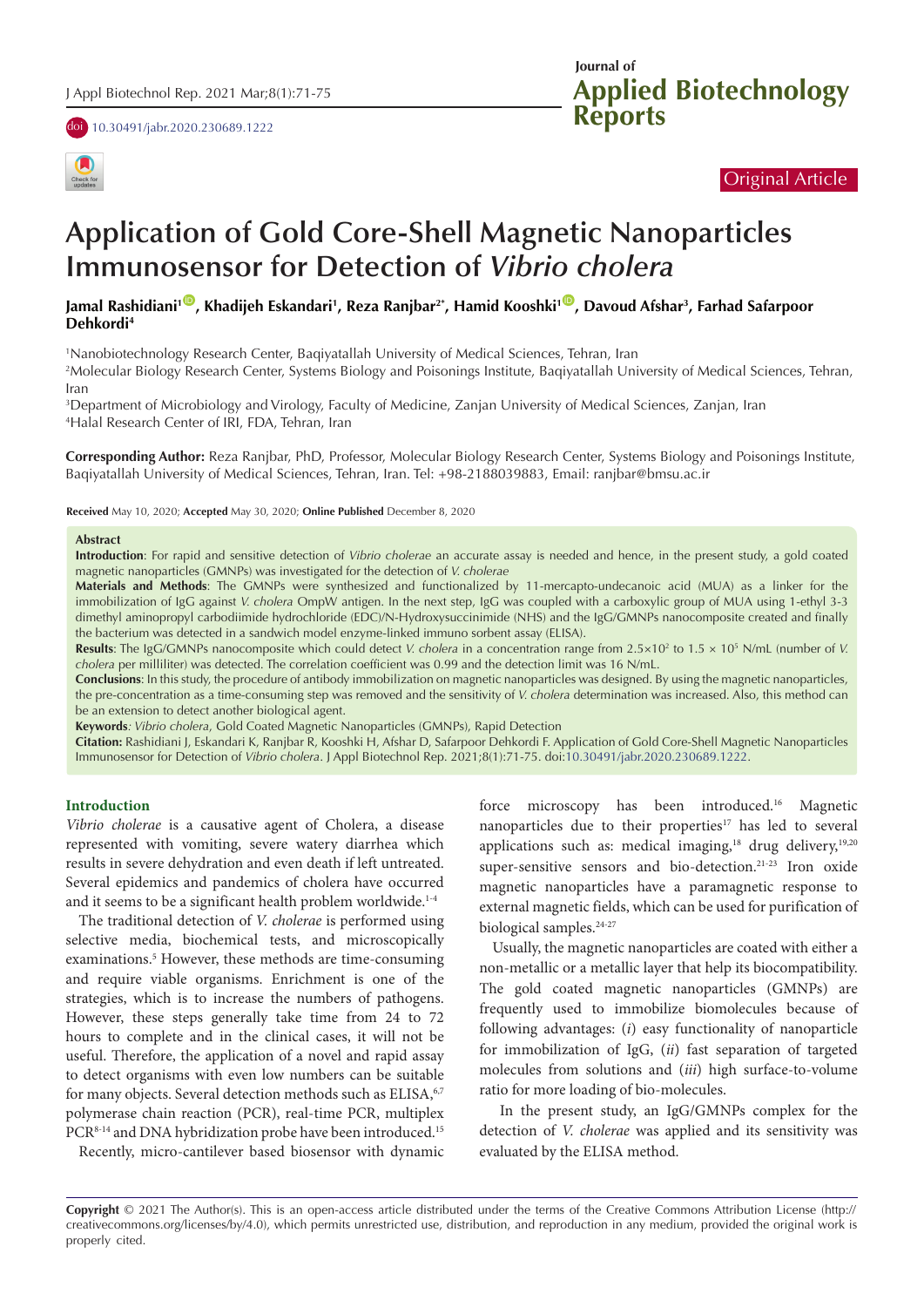doi [10.30491/jabr.2020.230689.1222](https://doi.org/10.30491/jabr.2020.230689.1222)





# Original Article

# **Application of Gold Core-Shell Magnetic Nanoparticles Immunosensor for Detection of** *Vibrio cholera*

Jamal Rashidiani<sup>1©</sup>, Khadijeh Eskandari<sup>1</sup>, Reza Ranjbar<sup>2\*</sup>, Hamid Kooshki<sup>1©</sup>, Davoud Afshar<sup>3</sup>, Farhad Safarpoor **Dehkordi4**

1 Nanobiotechnology Research Center, Baqiyatallah University of Medical Sciences, Tehran, Iran

2 Molecular Biology Research Center, Systems Biology and Poisonings Institute, Baqiyatallah University of Medical Sciences, Tehran, Iran

3 Department of Microbiology and Virology, Faculty of Medicine, Zanjan University of Medical Sciences, Zanjan, Iran 4 Halal Research Center of IRI, FDA, Tehran, Iran

**Corresponding Author:** Reza Ranjbar, PhD, Professor, Molecular Biology Research Center, Systems Biology and Poisonings Institute, Baqiyatallah University of Medical Sciences, Tehran, Iran. Tel: +98-2188039883, Email: ranjbar@bmsu.ac.ir

**Received** May 10, 2020; **Accepted** May 30, 2020; **Online Published** December 8, 2020

#### **Abstract**

**Introduction**: For rapid and sensitive detection of *Vibrio cholerae* an accurate assay is needed and hence, in the present study, a gold coated magnetic nanoparticles (GMNPs) was investigated for the detection of *V. cholerae*

**Materials and Methods**: The GMNPs were synthesized and functionalized by 11-mercapto-undecanoic acid (MUA) as a linker for the immobilization of IgG against *V. cholera* OmpW antigen. In the next step, IgG was coupled with a carboxylic group of MUA using 1-ethyl 3-3 dimethyl aminopropyl carbodiimide hydrochloride (EDC)/N-Hydroxysuccinimide (NHS) and the IgG/GMNPs nanocomposite created and finally the bacterium was detected in a sandwich model enzyme-linked immuno sorbent assay (ELISA).

**Results:** The IgG/GMNPs nanocomposite which could detect *V. cholera* in a concentration range from 2.5×10<sup>2</sup> to 1.5 × 10<sup>5</sup> N/mL (number of *V. cholera* per milliliter) was detected. The correlation coefficient was 0.99 and the detection limit was 16 N/mL.

**Conclusions**: In this study, the procedure of antibody immobilization on magnetic nanoparticles was designed. By using the magnetic nanoparticles, the pre-concentration as a time-consuming step was removed and the sensitivity of *V. cholera* determination was increased. Also, this method can be an extension to detect another biological agent.

**Keywords***: Vibrio cholera*, Gold Coated Magnetic Nanoparticles (GMNPs), Rapid Detection

**Citation:** Rashidiani J, Eskandari K, Ranjbar R, Kooshki H, Afshar D, Safarpoor Dehkordi F. Application of Gold Core-Shell Magnetic Nanoparticles Immunosensor for Detection of *Vibrio cholera*. J Appl Biotechnol Rep. 2021;8(1):71-75. doi:[10.30491/jabr.2020.230689.1222.](https://doi.org/10.30491/jabr.2020.230689.1222)

### **Introduction**

*Vibrio cholerae* is a causative agent of Cholera, a disease represented with vomiting, severe watery diarrhea which results in severe dehydration and even death if left untreated. Several epidemics and pandemics of cholera have occurred and it seems to be a significant health problem worldwide.<sup>1-4</sup>

The traditional detection of *V. cholerae* is performed using selective media, biochemical tests, and microscopically examinations.<sup>5</sup> However, these methods are time-consuming and require viable organisms. Enrichment is one of the strategies, which is to increase the numbers of pathogens. However, these steps generally take time from 24 to 72 hours to complete and in the clinical cases, it will not be useful. Therefore, the application of a novel and rapid assay to detect organisms with even low numbers can be suitable for many objects. Several detection methods such as ELISA, 6,7 polymerase chain reaction (PCR), real-time PCR, multiplex PCR<sup>8-14</sup> and DNA hybridization probe have been introduced.<sup>15</sup>

Recently, micro-cantilever based biosensor with dynamic

force microscopy has been introduced.16 Magnetic nanoparticles due to their properties<sup>17</sup> has led to several applications such as: medical imaging, $18$  drug delivery, $19,20$ super-sensitive sensors and bio-detection.<sup>21-23</sup> Iron oxide magnetic nanoparticles have a paramagnetic response to external magnetic fields, which can be used for purification of biological samples.<sup>24-27</sup>

Usually, the magnetic nanoparticles are coated with either a non-metallic or a metallic layer that help its biocompatibility. The gold coated magnetic nanoparticles (GMNPs) are frequently used to immobilize biomolecules because of following advantages: (*i*) easy functionality of nanoparticle for immobilization of IgG, (*ii*) fast separation of targeted molecules from solutions and (*iii*) high surface-to-volume ratio for more loading of bio-molecules.

 In the present study, an IgG/GMNPs complex for the detection of *V. cholerae* was applied and its sensitivity was evaluated by the ELISA method.

**Copyright** © 2021 The Author(s). This is an open-access article distributed under the terms of the Creative Commons Attribution License (http:// creativecommons.org/licenses/by/4.0), which permits unrestricted use, distribution, and reproduction in any medium, provided the original work is properly cited.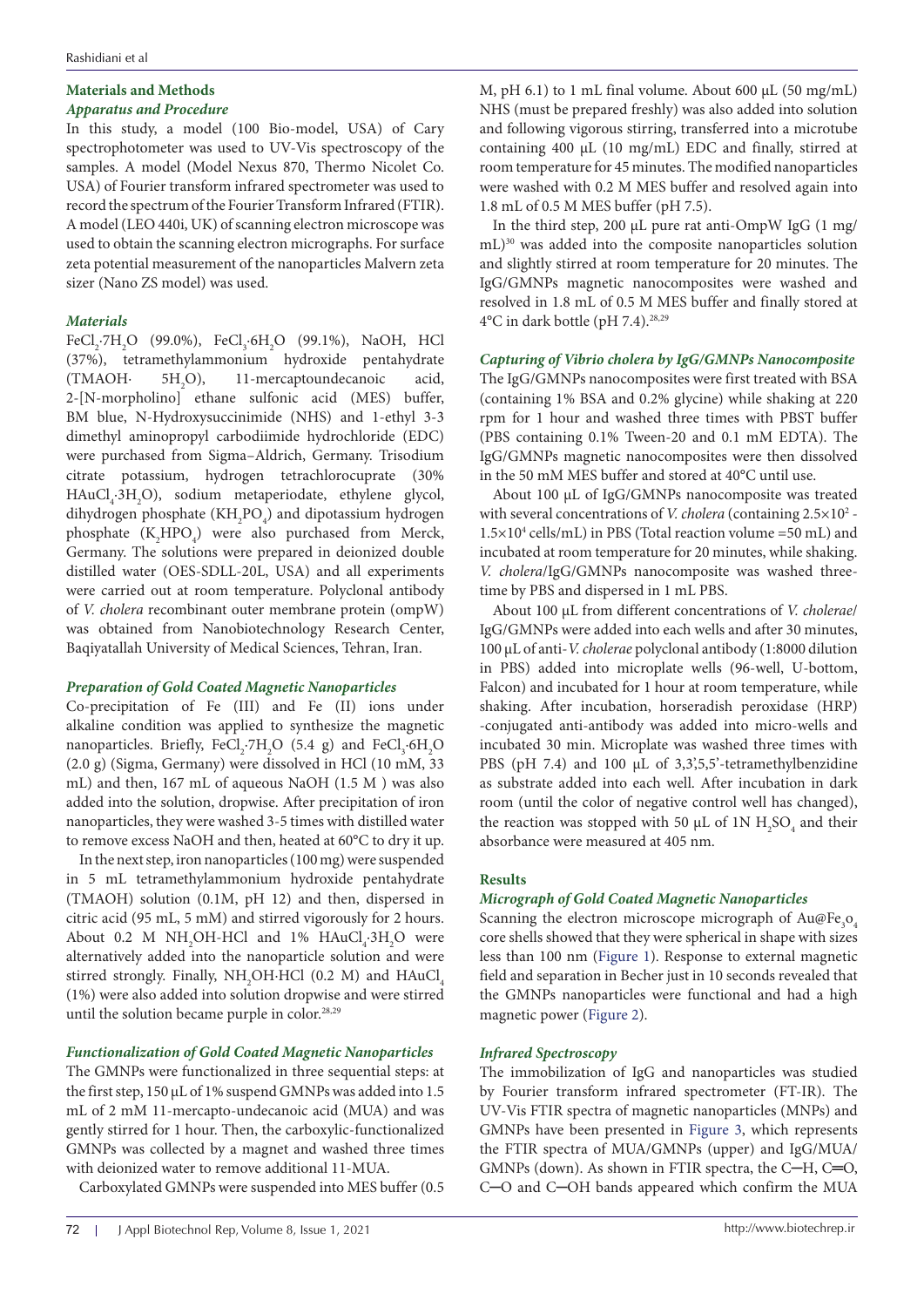### **Materials and Methods**  *Apparatus and Procedure*

In this study, a model (100 Bio-model, USA) of Cary spectrophotometer was used to UV-Vis spectroscopy of the samples. A model (Model Nexus 870, Thermo Nicolet Co. USA) of Fourier transform infrared spectrometer was used to record the spectrum of the Fourier Transform Infrared (FTIR). A model (LEO 440i, UK) of scanning electron microscope was used to obtain the scanning electron micrographs. For surface zeta potential measurement of the nanoparticles Malvern zeta sizer (Nano ZS model) was used.

# *Materials*

 $FeCl_2$ ·7 $H_2O$  (99.0%),  $FeCl_3$ ·6 $H_2O$  (99.1%), NaOH, HCl (37%), tetramethylammonium hydroxide pentahydrate  $(TMAOH· 5H<sub>2</sub>O),$ 11-mercaptoundecanoic acid, 2-[N-morpholino] ethane sulfonic acid (MES) buffer, BM blue, N-Hydroxysuccinimide (NHS) and 1-ethyl 3-3 dimethyl aminopropyl carbodiimide hydrochloride (EDC) were purchased from Sigma–Aldrich, Germany. Trisodium citrate potassium, hydrogen tetrachlorocuprate (30%  $HAuCl<sub>4</sub>·3H<sub>2</sub>O$ ), sodium metaperiodate, ethylene glycol, dihydrogen phosphate ( $KH_{2}PO_{4}$ ) and dipotassium hydrogen phosphate  $(K_2{\text{HPO}_4})$  were also purchased from Merck, Germany. The solutions were prepared in deionized double distilled water (OES-SDLL-20L, USA) and all experiments were carried out at room temperature. Polyclonal antibody of *V. cholera* recombinant outer membrane protein (ompW) was obtained from Nanobiotechnology Research Center, Baqiyatallah University of Medical Sciences, Tehran, Iran.

# *Preparation of Gold Coated Magnetic Nanoparticles*

Co-precipitation of Fe (III) and Fe (II) ions under alkaline condition was applied to synthesize the magnetic nanoparticles. Briefly,  $FeCl_2 \cdot 7H_2O$  (5.4 g) and  $FeCl_3 \cdot 6H_2O$ (2.0 g) (Sigma, Germany) were dissolved in HCl (10 mM, 33 mL) and then, 167 mL of aqueous NaOH (1.5 M ) was also added into the solution, dropwise. After precipitation of iron nanoparticles, they were washed 3-5 times with distilled water to remove excess NaOH and then, heated at 60°C to dry it up.

In the next step, iron nanoparticles (100 mg) were suspended in 5 mL tetramethylammonium hydroxide pentahydrate (TMAOH) solution (0.1M, pH 12) and then, dispersed in citric acid (95 mL, 5 mM) and stirred vigorously for 2 hours. About 0.2 M  $NH_2OH$ -HCl and 1%  $HAuCl_4$ -3 $H_2O$  were alternatively added into the nanoparticle solution and were stirred strongly. Finally,  $\mathrm{NH}_2\mathrm{OH}\text{·HCl}$  (0.2 M) and  $\mathrm{HAuCl}_4$ (1%) were also added into solution dropwise and were stirred until the solution became purple in color.<sup>28,29</sup>

# *Functionalization of Gold Coated Magnetic Nanoparticles*

The GMNPs were functionalized in three sequential steps: at the first step, 150 µL of 1% suspend GMNPs was added into 1.5 mL of 2 mM 11-mercapto-undecanoic acid (MUA) and was gently stirred for 1 hour. Then, the carboxylic-functionalized GMNPs was collected by a magnet and washed three times with deionized water to remove additional 11-MUA.

Carboxylated GMNPs were suspended into MES buffer (0.5

M, pH 6.1) to 1 mL final volume. About 600 µL (50 mg/mL) NHS (must be prepared freshly) was also added into solution and following vigorous stirring, transferred into a microtube containing 400 µL (10 mg/mL) EDC and finally, stirred at room temperature for 45 minutes. The modified nanoparticles were washed with 0.2 M MES buffer and resolved again into 1.8 mL of 0.5 M MES buffer (pH 7.5).

In the third step, 200  $\mu$ L pure rat anti-OmpW IgG (1 mg/ mL)30 was added into the composite nanoparticles solution and slightly stirred at room temperature for 20 minutes. The IgG/GMNPs magnetic nanocomposites were washed and resolved in 1.8 mL of 0.5 M MES buffer and finally stored at  $4^{\circ}$ C in dark bottle (pH 7.4).<sup>28,29</sup>

# *Capturing of Vibrio cholera by IgG/GMNPs Nanocomposite*

The IgG/GMNPs nanocomposites were first treated with BSA (containing 1% BSA and 0.2% glycine) while shaking at 220 rpm for 1 hour and washed three times with PBST buffer (PBS containing 0.1% Tween-20 and 0.1 mM EDTA). The IgG/GMNPs magnetic nanocomposites were then dissolved in the 50 mM MES buffer and stored at 40°C until use.

About 100 µL of IgG/GMNPs nanocomposite was treated with several concentrations of *V. cholera* (containing 2.5×10<sup>2</sup> - $1.5 \times 10^4$  cells/mL) in PBS (Total reaction volume =50 mL) and incubated at room temperature for 20 minutes, while shaking. *V. cholera*/IgG/GMNPs nanocomposite was washed threetime by PBS and dispersed in 1 mL PBS.

About 100 µL from different concentrations of *V. cholerae*/ IgG/GMNPs were added into each wells and after 30 minutes, 100 µL of anti-*V. cholerae* polyclonal antibody (1:8000 dilution in PBS) added into microplate wells (96-well, U-bottom, Falcon) and incubated for 1 hour at room temperature, while shaking. After incubation, horseradish peroxidase (HRP) -conjugated anti-antibody was added into micro-wells and incubated 30 min. Microplate was washed three times with PBS (pH 7.4) and 100  $\mu$ L of 3,3',55'-tetramethylbenzidine as substrate added into each well. After incubation in dark room (until the color of negative control well has changed), the reaction was stopped with 50  $\mu$ L of 1N  $H_2SO_4$  and their absorbance were measured at 405 nm.

# **Results**

# *Micrograph of Gold Coated Magnetic Nanoparticles*

Scanning the electron microscope micrograph of  $\text{Au@Fe}_{3}\text{O}_{4}$ core shells showed that they were spherical in shape with sizes less than 100 nm [\(Figure 1](#page-2-0)). Response to external magnetic field and separation in Becher just in 10 seconds revealed that the GMNPs nanoparticles were functional and had a high magnetic power ([Figure 2\)](#page-2-1).

# *Infrared Spectroscopy*

The immobilization of IgG and nanoparticles was studied by Fourier transform infrared spectrometer (FT-IR). The UV-Vis FTIR spectra of magnetic nanoparticles (MNPs) and GMNPs have been presented in [Figure 3](#page-2-2), which represents the FTIR spectra of MUA/GMNPs (upper) and IgG/MUA/ GMNPs (down). As shown in FTIR spectra, the C─H, C═O, C─O and C─OH bands appeared which confirm the MUA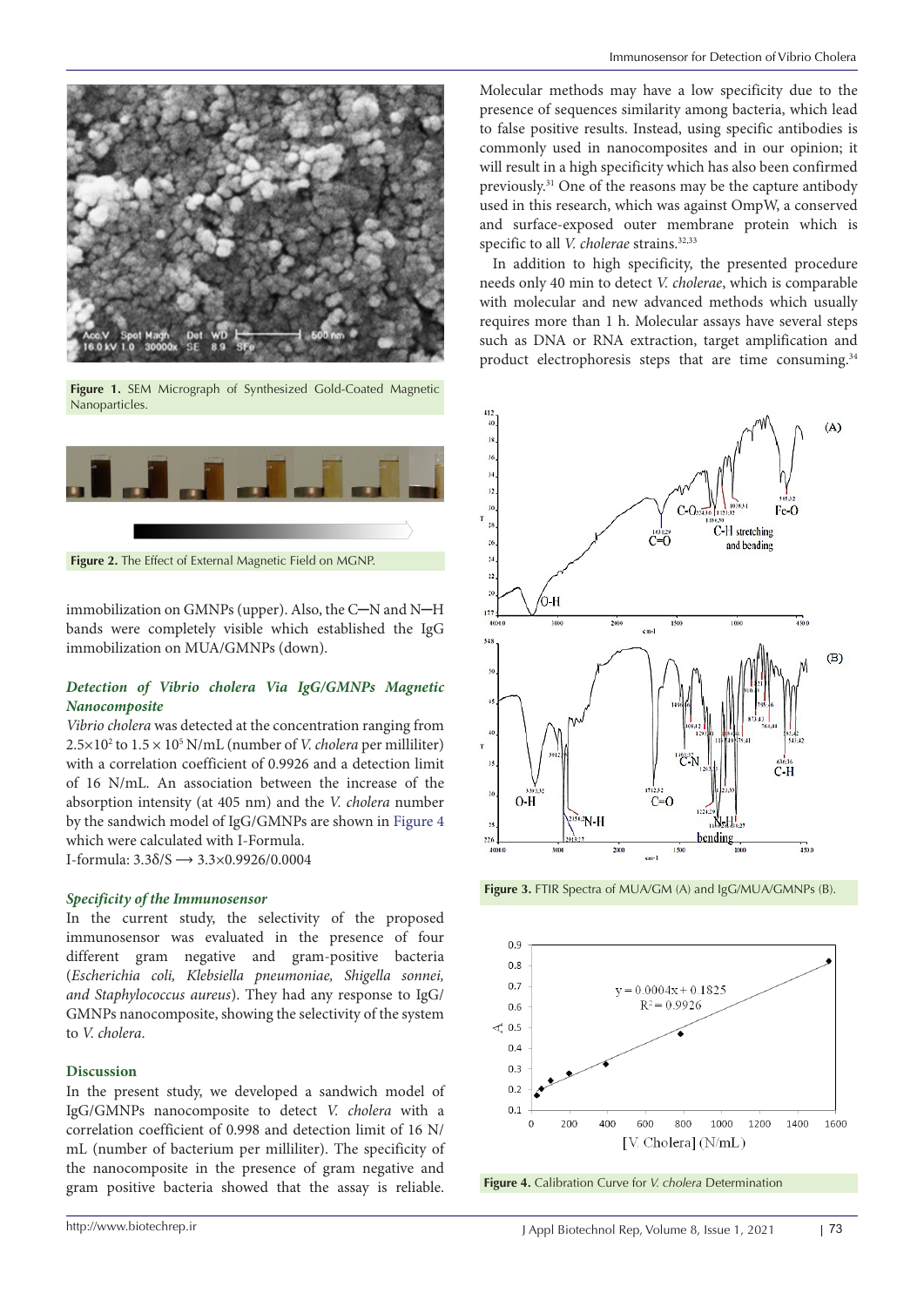<span id="page-2-0"></span>

**Figure 1.** SEM Micrograph of Synthesized Gold-Coated Magnetic Nanoparticles.

<span id="page-2-1"></span>

immobilization on GMNPs (upper). Also, the C─N and N─H bands were completely visible which established the IgG immobilization on MUA/GMNPs (down).

# *Detection of Vibrio cholera Via IgG/GMNPs Magnetic Nanocomposite*

*Vibrio cholera* was detected at the concentration ranging from  $2.5 \times 10^2$  to  $1.5 \times 10^5$  N/mL (number of *V. cholera* per milliliter) with a correlation coefficient of 0.9926 and a detection limit of 16 N/mL. An association between the increase of the absorption intensity (at 405 nm) and the *V. cholera* number by the sandwich model of IgG/GMNPs are shown in [Figure 4](#page-2-3) which were calculated with Ι-Formula. I-formula:  $3.3\delta/S \rightarrow 3.3\times0.9926/0.0004$ 

### *Specificity of the Immunosensor*

In the current study, the selectivity of the proposed immunosensor was evaluated in the presence of four different gram negative and gram-positive bacteria (*Escherichia coli, Klebsiella pneumoniae, Shigella sonnei, and Staphylococcus aureus*). They had any response to IgG/ GMNPs nanocomposite, showing the selectivity of the system to *V. cholera*.

### **Discussion**

In the present study, we developed a sandwich model of IgG/GMNPs nanocomposite to detect *V. cholera* with a correlation coefficient of 0.998 and detection limit of 16 N/ mL (number of bacterium per milliliter). The specificity of the nanocomposite in the presence of gram negative and gram positive bacteria showed that the assay is reliable.

Molecular methods may have a low specificity due to the presence of sequences similarity among bacteria, which lead to false positive results. Instead, using specific antibodies is commonly used in nanocomposites and in our opinion; it will result in a high specificity which has also been confirmed previously.31 One of the reasons may be the capture antibody used in this research, which was against OmpW, a conserved and surface-exposed outer membrane protein which is specific to all *V. cholerae* strains.<sup>32,33</sup>

In addition to high specificity, the presented procedure needs only 40 min to detect *V. cholerae*, which is comparable with molecular and new advanced methods which usually requires more than 1 h. Molecular assays have several steps such as DNA or RNA extraction, target amplification and product electrophoresis steps that are time consuming.34

<span id="page-2-2"></span>

**Figure 3.** FTIR Spectra of MUA/GM (A) and IgG/MUA/GMNPs (B).

<span id="page-2-3"></span>

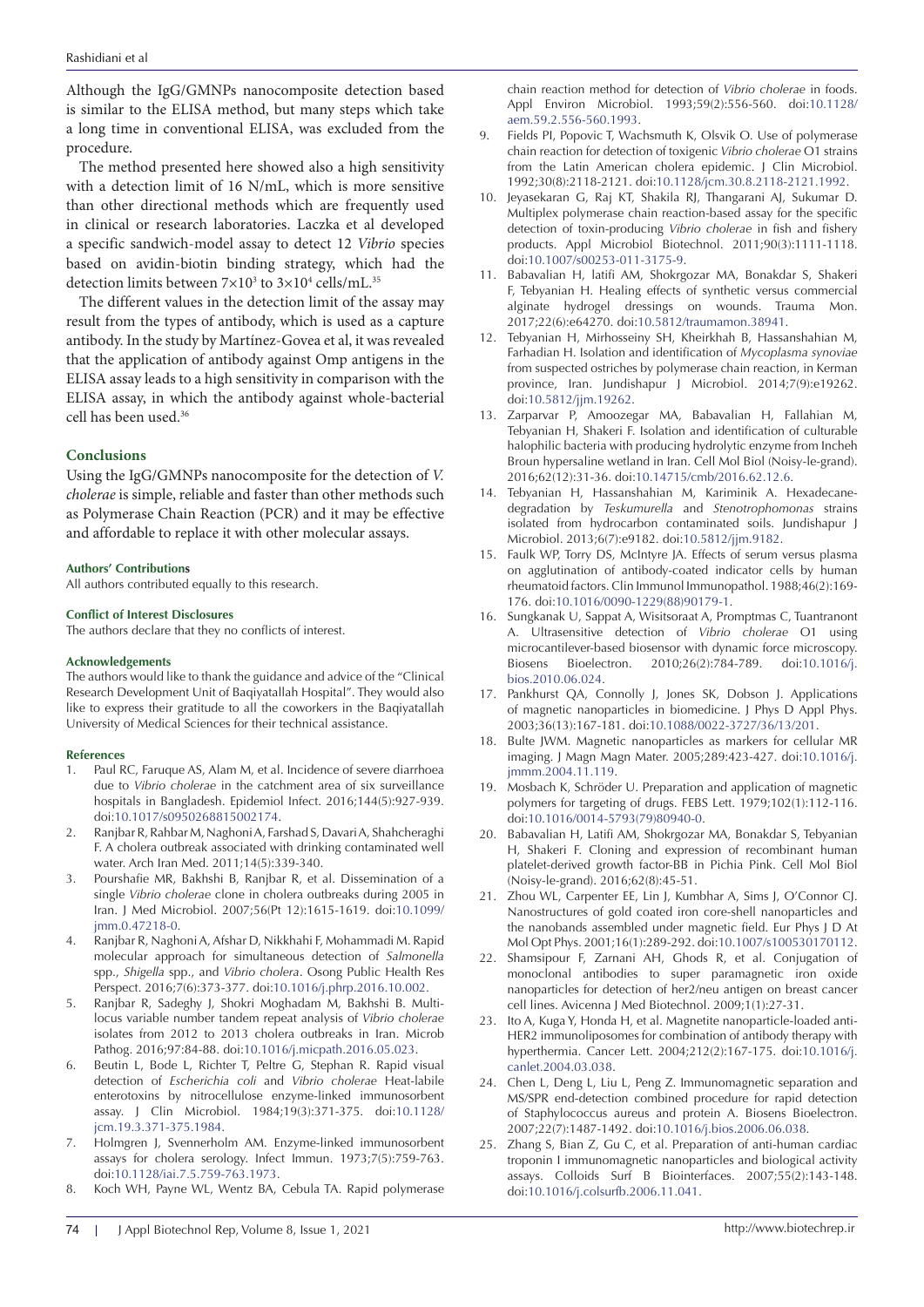Although the IgG/GMNPs nanocomposite detection based is similar to the ELISA method, but many steps which take a long time in conventional ELISA, was excluded from the procedure.

The method presented here showed also a high sensitivity with a detection limit of 16 N/mL, which is more sensitive than other directional methods which are frequently used in clinical or research laboratories. Laczka et al developed a specific sandwich-model assay to detect 12 *Vibrio* species based on avidin-biotin binding strategy, which had the detection limits between  $7\times10^3$  to  $3\times10^4$  cells/mL.<sup>35</sup>

The different values in the detection limit of the assay may result from the types of antibody, which is used as a capture antibody. In the study by Martínez-Govea et al, it was revealed that the application of antibody against Omp antigens in the ELISA assay leads to a high sensitivity in comparison with the ELISA assay, in which the antibody against whole-bacterial cell has been used.36

### **Conclusions**

Using the IgG/GMNPs nanocomposite for the detection of *V. cholerae* is simple, reliable and faster than other methods such as Polymerase Chain Reaction (PCR) and it may be effective and affordable to replace it with other molecular assays.

#### **Authors' Contributions**

All authors contributed equally to this research.

#### **Conflict of Interest Disclosures**

The authors declare that they no conflicts of interest.

#### **Acknowledgements**

The authors would like to thank the guidance and advice of the "Clinical Research Development Unit of Baqiyatallah Hospital". They would also like to express their gratitude to all the coworkers in the Baqiyatallah University of Medical Sciences for their technical assistance.

### **References**

- 1. Paul RC, Faruque AS, Alam M, et al. Incidence of severe diarrhoea due to *Vibrio cholerae* in the catchment area of six surveillance hospitals in Bangladesh. Epidemiol Infect. 2016;144(5):927-939. doi:[10.1017/s0950268815002174](https://doi.org/10.1017/s0950268815002174).
- 2. Ranjbar R, Rahbar M, Naghoni A, Farshad S, Davari A, Shahcheraghi F. A cholera outbreak associated with drinking contaminated well water. Arch Iran Med. 2011;14(5):339-340.
- 3. Pourshafie MR, Bakhshi B, Ranjbar R, et al. Dissemination of a single *Vibrio cholerae* clone in cholera outbreaks during 2005 in Iran. J Med Microbiol. 2007;56(Pt 12):1615-1619. doi[:10.1099/](https://doi.org/10.1099/jmm.0.47218-0) [jmm.0.47218-0](https://doi.org/10.1099/jmm.0.47218-0).
- 4. Ranjbar R, Naghoni A, Afshar D, Nikkhahi F, Mohammadi M. Rapid molecular approach for simultaneous detection of *Salmonella* spp., *Shigella* spp., and *Vibrio cholera*. Osong Public Health Res Perspect. 2016;7(6):373-377. doi[:10.1016/j.phrp.2016.10.002.](https://doi.org/10.1016/j.phrp.2016.10.002)
- 5. Ranjbar R, Sadeghy J, Shokri Moghadam M, Bakhshi B. Multilocus variable number tandem repeat analysis of *Vibrio cholerae* isolates from 2012 to 2013 cholera outbreaks in Iran. Microb Pathog. 2016;97:84-88. doi[:10.1016/j.micpath.2016.05.023](https://doi.org/10.1016/j.micpath.2016.05.023).
- 6. Beutin L, Bode L, Richter T, Peltre G, Stephan R. Rapid visual detection of *Escherichia coli* and *Vibrio cholerae* Heat-labile enterotoxins by nitrocellulose enzyme-linked immunosorbent assay. J Clin Microbiol. 1984;19(3):371-375. doi[:10.1128/](https://doi.org/10.1128/jcm.19.3.371-375.1984) [jcm.19.3.371-375.1984.](https://doi.org/10.1128/jcm.19.3.371-375.1984)
- 7. Holmgren J, Svennerholm AM. Enzyme-linked immunosorbent assays for cholera serology. Infect Immun. 1973;7(5):759-763. doi:[10.1128/iai.7.5.759-763.1973](https://doi.org/10.1128/iai.7.5.759-763.1973).
- 8. Koch WH, Payne WL, Wentz BA, Cebula TA. Rapid polymerase

chain reaction method for detection of *Vibrio cholerae* in foods. Appl Environ Microbiol. 1993;59(2):556-560. doi:[10.1128/](https://doi.org/10.1128/aem.59.2.556-560.1993) [aem.59.2.556-560.1993](https://doi.org/10.1128/aem.59.2.556-560.1993).

- Fields PI, Popovic T, Wachsmuth K, Olsvik O. Use of polymerase chain reaction for detection of toxigenic *Vibrio cholerae* O1 strains from the Latin American cholera epidemic. J Clin Microbiol. 1992;30(8):2118-2121. doi[:10.1128/jcm.30.8.2118-2121.1992](https://doi.org/10.1128/jcm.30.8.2118-2121.1992).
- 10. Jeyasekaran G, Raj KT, Shakila RJ, Thangarani AJ, Sukumar D. Multiplex polymerase chain reaction-based assay for the specific detection of toxin-producing *Vibrio cholerae* in fish and fishery products. Appl Microbiol Biotechnol. 2011;90(3):1111-1118. doi[:10.1007/s00253-011-3175-9](https://doi.org/10.1007/s00253-011-3175-9).
- 11. Babavalian H, latifi AM, Shokrgozar MA, Bonakdar S, Shakeri F, Tebyanian H. Healing effects of synthetic versus commercial alginate hydrogel dressings on wounds. Trauma Mon. 2017;22(6):e64270. doi[:10.5812/traumamon.38941](https://doi.org/10.5812/traumamon.38941).
- 12. Tebyanian H, Mirhosseiny SH, Kheirkhah B, Hassanshahian M, Farhadian H. Isolation and identification of *Mycoplasma synoviae* from suspected ostriches by polymerase chain reaction, in Kerman province, Iran. Jundishapur J Microbiol. 2014;7(9):e19262. doi[:10.5812/jjm.19262](https://doi.org/10.5812/jjm.19262).
- 13. Zarparvar P, Amoozegar MA, Babavalian H, Fallahian M, Tebyanian H, Shakeri F. Isolation and identification of culturable halophilic bacteria with producing hydrolytic enzyme from Incheh Broun hypersaline wetland in Iran. Cell Mol Biol (Noisy-le-grand). 2016;62(12):31-36. doi:[10.14715/cmb/2016.62.12.6](https://doi.org/10.14715/cmb/2016.62.12.6).
- 14. Tebyanian H, Hassanshahian M, Kariminik A. Hexadecanedegradation by *Teskumurella* and *Stenotrophomonas* strains isolated from hydrocarbon contaminated soils. Jundishapur J Microbiol. 2013;6(7):e9182. doi[:10.5812/jjm.9182.](https://doi.org/10.5812/jjm.9182)
- 15. Faulk WP, Torry DS, McIntyre JA. Effects of serum versus plasma on agglutination of antibody-coated indicator cells by human rheumatoid factors. Clin Immunol Immunopathol. 1988;46(2):169- 176. doi[:10.1016/0090-1229\(88\)90179-1](https://doi.org/10.1016/0090-1229(88)90179-1).
- 16. Sungkanak U, Sappat A, Wisitsoraat A, Promptmas C, Tuantranont A. Ultrasensitive detection of *Vibrio cholerae* O1 using microcantilever-based biosensor with dynamic force microscopy. Biosens Bioelectron. 2010;26(2):784-789. doi[:10.1016/j.](https://doi.org/10.1016/j.bios.2010.06.024) [bios.2010.06.024.](https://doi.org/10.1016/j.bios.2010.06.024)
- 17. Pankhurst QA, Connolly J, Jones SK, Dobson J. Applications of magnetic nanoparticles in biomedicine. J Phys D Appl Phys. 2003;36(13):167-181. doi:[10.1088/0022-3727/36/13/201.](https://doi.org/10.1088/0022-3727/36/13/201)
- 18. Bulte JWM. Magnetic nanoparticles as markers for cellular MR imaging. J Magn Magn Mater. 2005;289:423-427. doi[:10.1016/j.](https://doi.org/10.1016/j.jmmm.2004.11.119) [jmmm.2004.11.119.](https://doi.org/10.1016/j.jmmm.2004.11.119)
- 19. Mosbach K, Schröder U. Preparation and application of magnetic polymers for targeting of drugs. FEBS Lett. 1979;102(1):112-116. doi[:10.1016/0014-5793\(79\)80940-0](https://doi.org/10.1016/0014-5793(79)80940-0).
- 20. Babavalian H, Latifi AM, Shokrgozar MA, Bonakdar S, Tebyanian H, Shakeri F. Cloning and expression of recombinant human platelet-derived growth factor-BB in Pichia Pink. Cell Mol Biol (Noisy-le-grand). 2016;62(8):45-51.
- 21. Zhou WL, Carpenter EE, Lin J, Kumbhar A, Sims J, O'Connor CJ. Nanostructures of gold coated iron core-shell nanoparticles and the nanobands assembled under magnetic field. Eur Phys J D At Mol Opt Phys. 2001;16(1):289-292. doi:[10.1007/s100530170112.](https://doi.org/10.1007/s100530170112)
- 22. Shamsipour F, Zarnani AH, Ghods R, et al. Conjugation of monoclonal antibodies to super paramagnetic iron oxide nanoparticles for detection of her2/neu antigen on breast cancer cell lines. Avicenna J Med Biotechnol. 2009;1(1):27-31.
- 23. Ito A, Kuga Y, Honda H, et al. Magnetite nanoparticle-loaded anti-HER2 immunoliposomes for combination of antibody therapy with hyperthermia. Cancer Lett. 2004;212(2):167-175. doi[:10.1016/j.](https://doi.org/10.1016/j.canlet.2004.03.038) [canlet.2004.03.038.](https://doi.org/10.1016/j.canlet.2004.03.038)
- 24. Chen L, Deng L, Liu L, Peng Z. Immunomagnetic separation and MS/SPR end-detection combined procedure for rapid detection of Staphylococcus aureus and protein A. Biosens Bioelectron. 2007;22(7):1487-1492. doi[:10.1016/j.bios.2006.06.038.](https://doi.org/10.1016/j.bios.2006.06.038)
- 25. Zhang S, Bian Z, Gu C, et al. Preparation of anti-human cardiac troponin I immunomagnetic nanoparticles and biological activity assays. Colloids Surf B Biointerfaces. 2007;55(2):143-148. doi[:10.1016/j.colsurfb.2006.11.041](https://doi.org/10.1016/j.colsurfb.2006.11.041).